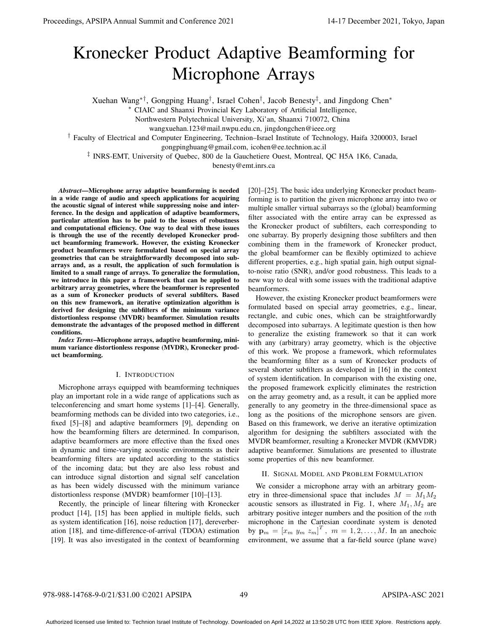# Kronecker Product Adaptive Beamforming for Microphone Arrays

Xuehan Wang*∗†*, Gongping Huang*†* , Israel Cohen*†* , Jacob Benesty*‡* , and Jingdong Chen*<sup>∗</sup>*

*<sup>∗</sup>* CIAIC and Shaanxi Provincial Key Laboratory of Artificial Intelligence,

Northwestern Polytechnical University, Xi'an, Shaanxi 710072, China

wangxuehan.123@mail.nwpu.edu.cn, jingdongchen@ieee.org

*†* Faculty of Electrical and Computer Engineering, Technion–Israel Institute of Technology, Haifa 3200003, Israel

gongpinghuang@gmail.com, icohen@ee.technion.ac.il

*‡* INRS-EMT, University of Quebec, 800 de la Gauchetiere Ouest, Montreal, QC H5A 1K6, Canada,

benesty@emt.inrs.ca

*Abstract*—Microphone array adaptive beamforming is needed in a wide range of audio and speech applications for acquiring the acoustic signal of interest while suppressing noise and interference. In the design and application of adaptive beamformers, particular attention has to be paid to the issues of robustness and computational efficiency. One way to deal with these issues is through the use of the recently developed Kronecker product beamforming framework. However, the existing Kronecker product beamformers were formulated based on special array geometries that can be straightforwardly decomposed into subarrays and, as a result, the application of such formulation is limited to a small range of arrays. To generalize the formulation, we introduce in this paper a framework that can be applied to arbitrary array geometries, where the beamformer is represented as a sum of Kronecker products of several subfilters. Based on this new framework, an iterative optimization algorithm is derived for designing the subfilters of the minimum variance distortionless response (MVDR) beamformer. Simulation results demonstrate the advantages of the proposed method in different conditions.

*Index Terms*—Microphone arrays, adaptive beamforming, minimum variance distortionless response (MVDR), Kronecker product beamforming.

## I. INTRODUCTION

Microphone arrays equipped with beamforming techniques play an important role in a wide range of applications such as teleconferencing and smart home systems [1]–[4]. Generally, beamforming methods can be divided into two categories, i.e., fixed [5]–[8] and adaptive beamformers [9], depending on how the beamforming filters are determined. In comparison, adaptive beamformers are more effective than the fixed ones in dynamic and time-varying acoustic environments as their beamforming filters are updated according to the statistics of the incoming data; but they are also less robust and can introduce signal distortion and signal self cancelation as has been widely discussed with the minimum variance distortionless response (MVDR) beamformer [10]–[13].

Recently, the principle of linear filtering with Kronecker product [14], [15] has been applied in multiple fields, such as system identification [16], noise reduction [17], dereverberation [18], and time-difference-of-arrival (TDOA) estimation [19]. It was also investigated in the context of beamforming [20]–[25]. The basic idea underlying Kronecker product beamforming is to partition the given microphone array into two or multiple smaller virtual subarrays so the (global) beamforming filter associated with the entire array can be expressed as the Kronecker product of subfilters, each corresponding to one subarray. By properly designing those subfilters and then combining them in the framework of Kronecker product, the global beamformer can be flexibly optimized to achieve different properties, e.g., high spatial gain, high output signalto-noise ratio (SNR), and/or good robustness. This leads to a new way to deal with some issues with the traditional adaptive beamformers.

However, the existing Kronecker product beamformers were formulated based on special array geometries, e.g., linear, rectangle, and cubic ones, which can be straightforwardly decomposed into subarrays. A legitimate question is then how to generalize the existing framework so that it can work with any (arbitrary) array geometry, which is the objective of this work. We propose a framework, which reformulates the beamforming filter as a sum of Kronecker products of several shorter subfilters as developed in [16] in the context of system identification. In comparison with the existing one, the proposed framework explicitly eliminates the restriction on the array geometry and, as a result, it can be applied more generally to any geometry in the three-dimensional space as long as the positions of the microphone sensors are given. Based on this framework, we derive an iterative optimization algorithm for designing the subfilters associated with the MVDR beamformer, resulting a Kronecker MVDR (KMVDR) adaptive beamformer. Simulations are presented to illustrate some properties of this new beamformer.

## II. SIGNAL MODEL AND PROBLEM FORMULATION

We consider a microphone array with an arbitrary geometry in three-dimensional space that includes  $M = M_1 M_2$ acoustic sensors as illustrated in Fig. 1, where  $M_1, M_2$  are arbitrary positive integer numbers and the position of the *m*th microphone in the Cartesian coordinate system is denoted by  $\mathbf{p}_m = [x_m \ y_m \ z_m]^T$ ,  $m = 1, 2, ..., M$ . In an anechoic environment, we assume that a far-field source (plane wave)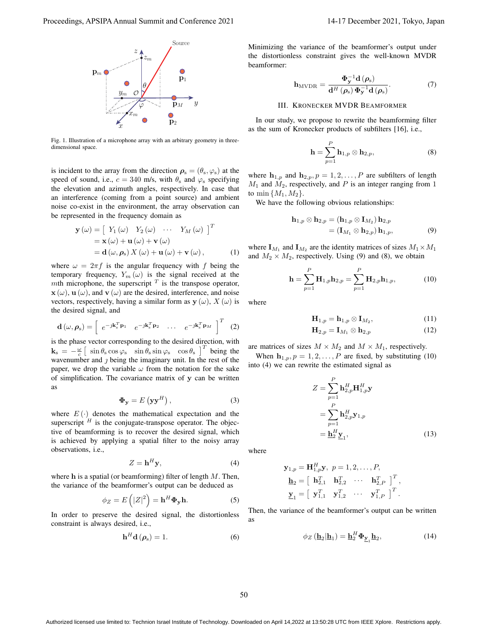

Fig. 1. Illustration of a microphone array with an arbitrary geometry in threedimensional space.

is incident to the array from the direction  $\rho_s = (\theta_s, \varphi_s)$  at the speed of sound, i.e.,  $c = 340$  m/s, with  $\theta_s$  and  $\varphi_s$  specifying the elevation and azimuth angles, respectively. In case that an interference (coming from a point source) and ambient noise co-exist in the environment, the array observation can be represented in the frequency domain as

$$
\mathbf{y}(\omega) = \begin{bmatrix} Y_1(\omega) & Y_2(\omega) & \cdots & Y_M(\omega) \end{bmatrix}^T
$$
  
=  $\mathbf{x}(\omega) + \mathbf{u}(\omega) + \mathbf{v}(\omega)$   
=  $\mathbf{d}(\omega, \rho_s) X(\omega) + \mathbf{u}(\omega) + \mathbf{v}(\omega)$ , (1)

where  $\omega = 2\pi f$  is the angular frequency with f being the temporary frequency,  $Y_m(\omega)$  is the signal received at the *m*th microphone, the superscript  $^T$  is the transpose operator,  $\mathbf{x}$  ( $\omega$ ),  $\mathbf{u}$  ( $\omega$ ), and  $\mathbf{v}$  ( $\omega$ ) are the desired, interference, and noise vectors, respectively, having a similar form as  $y(\omega)$ ,  $X(\omega)$  is the desired signal, and

$$
\mathbf{d}\left(\omega,\boldsymbol{\rho}_{\mathrm{s}}\right) = \left[\begin{array}{cccc} e^{-j\mathbf{k}_{\mathrm{s}}^{T}\mathbf{p}_{1}} & e^{-j\mathbf{k}_{\mathrm{s}}^{T}\mathbf{p}_{2}} & \dots & e^{-j\mathbf{k}_{\mathrm{s}}^{T}\mathbf{p}_{M}} \end{array}\right]^{T} (2)
$$

is the phase vector corresponding to the desired direction, with  $\mathbf{k}_s = -\frac{\omega}{c} \left[ \sin \theta_s \cos \varphi_s \right] \sin \theta_s \sin \varphi_s \cos \theta_s \right]$ <sup>T</sup> being the wavenumber and *j* being the imaginary unit. In the rest of the paper, we drop the variable  $\omega$  from the notation for the sake of simplification. The covariance matrix of **y** can be written as

$$
\Phi_{\mathbf{y}} = E\left(\mathbf{y}\mathbf{y}^H\right),\tag{3}
$$

where  $E(\cdot)$  denotes the mathematical expectation and the superscript  $<sup>H</sup>$  is the conjugate-transpose operator. The objec-</sup> tive of beamforming is to recover the desired signal, which is achieved by applying a spatial filter to the noisy array observations, i.e.,

$$
Z = \mathbf{h}^H \mathbf{y},\tag{4}
$$

where **h** is a spatial (or beamforming) filter of length *M*. Then, the variance of the beamformer's output can be deduced as

$$
\phi_Z = E\left(|Z|^2\right) = \mathbf{h}^H \mathbf{\Phi}_\mathbf{y} \mathbf{h}.\tag{5}
$$

In order to preserve the desired signal, the distortionless constraint is always desired, i.e.,

$$
\mathbf{h}^H \mathbf{d} \left( \boldsymbol{\rho}_s \right) = 1. \tag{6}
$$

Minimizing the variance of the beamformer's output under the distortionless constraint gives the well-known MVDR beamformer:

$$
\mathbf{h}_{\text{MVDR}} = \frac{\mathbf{\Phi}_{\mathbf{y}}^{-1} \mathbf{d}\left(\boldsymbol{\rho}_{\text{s}}\right)}{\mathbf{d}^{H}\left(\boldsymbol{\rho}_{\text{s}}\right) \mathbf{\Phi}_{\mathbf{y}}^{-1} \mathbf{d}\left(\boldsymbol{\rho}_{\text{s}}\right)}.
$$
 (7)

# III. KRONECKER MVDR BEAMFORMER

In our study, we propose to rewrite the beamforming filter as the sum of Kronecker products of subfilters [16], i.e.,

$$
\mathbf{h} = \sum_{p=1}^{P} \mathbf{h}_{1,p} \otimes \mathbf{h}_{2,p},
$$
 (8)

where  $h_{1,p}$  and  $h_{2,p}$ ,  $p = 1, 2, \ldots, P$  are subfilters of length *M*<sup>1</sup> and *M*2, respectively, and *P* is an integer ranging from 1 to min  $\{M_1, M_2\}$ .

We have the following obvious relationships:

$$
\mathbf{h}_{1,p} \otimes \mathbf{h}_{2,p} = (\mathbf{h}_{1,p} \otimes \mathbf{I}_{M_2}) \mathbf{h}_{2,p} = (\mathbf{I}_{M_1} \otimes \mathbf{h}_{2,p}) \mathbf{h}_{1,p},
$$
 (9)

where  $\mathbf{I}_{M_1}$  and  $\mathbf{I}_{M_2}$  are the identity matrices of sizes  $M_1 \times M_1$ and  $M_2 \times M_2$ , respectively. Using (9) and (8), we obtain

$$
\mathbf{h} = \sum_{p=1}^{P} \mathbf{H}_{1,p} \mathbf{h}_{2,p} = \sum_{p=1}^{P} \mathbf{H}_{2,p} \mathbf{h}_{1,p},
$$
 (10)

where

$$
\mathbf{H}_{1,p} = \mathbf{h}_{1,p} \otimes \mathbf{I}_{M_2},\tag{11}
$$

$$
\mathbf{H}_{2,p} = \mathbf{I}_{M_1} \otimes \mathbf{h}_{2,p} \tag{12}
$$

are matrices of sizes  $M \times M_2$  and  $M \times M_1$ , respectively. When  $\mathbf{h}_{1,p}$ ,  $p = 1, 2, \ldots, P$  are fixed, by substituting (10) into (4) we can rewrite the estimated signal as

$$
Z = \sum_{p=1}^{P} \mathbf{h}_{2,p}^{H} \mathbf{H}_{1,p}^{H} \mathbf{y}
$$
  
= 
$$
\sum_{p=1}^{P} \mathbf{h}_{2,p}^{H} \mathbf{y}_{1,p}
$$
  
= 
$$
\underline{\mathbf{h}}_{2}^{H} \underline{\mathbf{y}}_{1},
$$
 (13)

where

$$
\mathbf{y}_{1,p} = \mathbf{H}_{1,p}^H \mathbf{y}, \ p = 1, 2, \dots, P,
$$
  
\n
$$
\mathbf{h}_2 = \left[ \begin{array}{cccc} \mathbf{h}_{2,1}^T & \mathbf{h}_{2,2}^T & \cdots & \mathbf{h}_{2,P}^T \end{array} \right]^T,
$$
  
\n
$$
\mathbf{y}_1 = \left[ \begin{array}{cccc} \mathbf{y}_{1,1}^T & \mathbf{y}_{1,2}^T & \cdots & \mathbf{y}_{1,P}^T \end{array} \right]^T.
$$

Then, the variance of the beamformer's output can be written as

$$
\phi_Z\left(\underline{\mathbf{h}}_2|\underline{\mathbf{h}}_1\right) = \underline{\mathbf{h}}_2^H \Phi_{\underline{\mathbf{y}}_1} \underline{\mathbf{h}}_2,\tag{14}
$$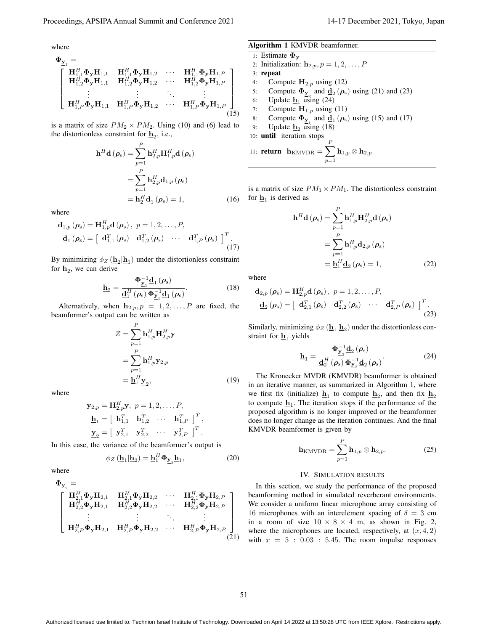where

$$
\Phi_{\mathbf{y}_{1}} = \begin{bmatrix}\n\mathbf{H}_{1,1}^{H} \Phi_{\mathbf{y}} \mathbf{H}_{1,1} & \mathbf{H}_{1,1}^{H} \Phi_{\mathbf{y}} \mathbf{H}_{1,2} & \cdots & \mathbf{H}_{1,1}^{H} \Phi_{\mathbf{y}} \mathbf{H}_{1,P} \\
\mathbf{H}_{1,2}^{H} \Phi_{\mathbf{y}} \mathbf{H}_{1,1} & \mathbf{H}_{1,2}^{H} \Phi_{\mathbf{y}} \mathbf{H}_{1,2} & \cdots & \mathbf{H}_{1,2}^{H} \Phi_{\mathbf{y}} \mathbf{H}_{1,P} \\
\vdots & \vdots & \ddots & \vdots \\
\mathbf{H}_{1,P}^{H} \Phi_{\mathbf{y}} \mathbf{H}_{1,1} & \mathbf{H}_{1,P}^{H} \Phi_{\mathbf{y}} \mathbf{H}_{1,2} & \cdots & \mathbf{H}_{1,P}^{H} \Phi_{\mathbf{y}} \mathbf{H}_{1,P} \n\end{bmatrix}
$$
\n(15)

is a matrix of size  $PM_2 \times PM_2$ . Using (10) and (6) lead to the distortionless constraint for  $\underline{\mathbf{h}}_2$ , i.e.,

$$
\mathbf{h}^{H} \mathbf{d} (\rho_{s}) = \sum_{p=1}^{P} \mathbf{h}_{2,p}^{H} \mathbf{H}_{1,p}^{H} \mathbf{d} (\rho_{s})
$$

$$
= \sum_{p=1}^{P} \mathbf{h}_{2,p}^{H} \mathbf{d}_{1,p} (\rho_{s})
$$

$$
= \mathbf{h}_{2}^{H} \mathbf{d}_{1} (\rho_{s}) = 1, \qquad (16)
$$

where

$$
\mathbf{d}_{1,p}(\boldsymbol{\rho}_{\mathrm{s}}) = \mathbf{H}_{1,p}^{H} \mathbf{d}(\boldsymbol{\rho}_{\mathrm{s}}), p = 1, 2, \dots, P,
$$
  

$$
\mathbf{d}_{1}(\boldsymbol{\rho}_{\mathrm{s}}) = \left[\begin{array}{cc} \mathbf{d}_{1,1}^{T}(\boldsymbol{\rho}_{\mathrm{s}}) & \mathbf{d}_{1,2}^{T}(\boldsymbol{\rho}_{\mathrm{s}}) & \cdots & \mathbf{d}_{1,P}^{T}(\boldsymbol{\rho}_{\mathrm{s}}) \end{array}\right]^{T}.
$$
(17)

By minimizing  $\phi_Z(\underline{\mathbf{h}}_2|\underline{\mathbf{h}}_1)$  under the distortionless constraint for  $\underline{\mathbf{h}}_2$ , we can derive

$$
\underline{\mathbf{h}}_2 = \frac{\Phi_{\underline{\mathbf{y}}_1}^{-1} \underline{\mathbf{d}}_1(\rho_s)}{\underline{\mathbf{d}}_1^H(\rho_s) \Phi_{\underline{\mathbf{y}}_1}^{-1} \underline{\mathbf{d}}_1(\rho_s)}.
$$
(18)

Alternatively, when  $h_{2,p}, p = 1, 2, \ldots, P$  are fixed, the beamformer's output can be written as

$$
Z = \sum_{p=1}^{P} \mathbf{h}_{1,p}^{H} \mathbf{H}_{2,p}^{H} \mathbf{y}
$$
  
= 
$$
\sum_{p=1}^{P} \mathbf{h}_{1,p}^{H} \mathbf{y}_{2,p}
$$
  
= 
$$
\mathbf{h}_{1}^{H} \mathbf{y}_{2},
$$
 (19)

where

$$
\mathbf{y}_{2,p} = \mathbf{H}_{2,p}^H \mathbf{y}, \ p = 1, 2, \dots, P,
$$
  
\n
$$
\mathbf{h}_1 = \begin{bmatrix} \mathbf{h}_{1,1}^T & \mathbf{h}_{1,2}^T & \cdots & \mathbf{h}_{1,P}^T \end{bmatrix}^T,
$$
  
\n
$$
\mathbf{y}_2 = \begin{bmatrix} \mathbf{y}_{2,1}^T & \mathbf{y}_{2,2}^T & \cdots & \mathbf{y}_{2,P}^T \end{bmatrix}^T.
$$

In this case, the variance of the beamformer's output is

$$
\phi_Z\left(\underline{\mathbf{h}}_1|\underline{\mathbf{h}}_2\right) = \underline{\mathbf{h}}_1^H \Phi_{\underline{\mathbf{y}}_2} \underline{\mathbf{h}}_1,\tag{20}
$$

where

$$
\Phi_{\mathbf{y}_2} = \begin{bmatrix}\n\mathbf{H}_{2,1}^H \Phi_{\mathbf{y}} \mathbf{H}_{2,1} & \mathbf{H}_{2,1}^H \Phi_{\mathbf{y}} \mathbf{H}_{2,2} & \cdots & \mathbf{H}_{2,1}^H \Phi_{\mathbf{y}} \mathbf{H}_{2,P} \\
\mathbf{H}_{2,2}^H \Phi_{\mathbf{y}} \mathbf{H}_{2,1} & \mathbf{H}_{2,2}^H \Phi_{\mathbf{y}} \mathbf{H}_{2,2} & \cdots & \mathbf{H}_{2,2}^H \Phi_{\mathbf{y}} \mathbf{H}_{2,P} \\
\vdots & \vdots & \ddots & \vdots \\
\mathbf{H}_{2,P}^H \Phi_{\mathbf{y}} \mathbf{H}_{2,1} & \mathbf{H}_{2,P}^H \Phi_{\mathbf{y}} \mathbf{H}_{2,2} & \cdots & \mathbf{H}_{2,P}^H \Phi_{\mathbf{y}} \mathbf{H}_{2,P} \n\end{bmatrix} (21)
$$

# Algorithm 1 KMVDR beamformer.

1: Estimate **Φ<sup>y</sup>**

2: Initialization:  $h_{2,p}, p = 1, 2, ..., P$ 

3: repeat

- 4: Compute  $\mathbf{H}_{2,p}$  using (12)
- 5: Compute  $\Phi_{\underline{y}_2}$  and  $\underline{d}_2(\rho_s)$  using (21) and (23)
- 6: Update  $\frac{\mathbf{h}_1}{\mathbf{h}_1}$  using (24)<br>7: Compute  $\mathbf{H}_{1,n}$  using
- Compute  $\mathbf{H}_{1,p}$  using (11)
- 8: Compute  $\Phi_{\underline{y}_1}$  and  $\underline{d}_1(\rho_s)$  using (15) and (17)
- 9: Update  $\mathbf{h}_2$  using (18)
- 10: **until** iteration stops *P*

$$
\text{11: return } \mathbf{h}_{\text{KMVDR}} = \sum_{p=1} \mathbf{h}_{1,p} \otimes \mathbf{h}_{2,p}
$$

is a matrix of size  $PM_1 \times PM_1$ . The distortionless constraint for  $\underline{\mathbf{h}}_1$  is derived as

$$
\mathbf{h}^{H} \mathbf{d} (\rho_{s}) = \sum_{p=1}^{P} \mathbf{h}_{1,p}^{H} \mathbf{H}_{2,p}^{H} \mathbf{d} (\rho_{s})
$$

$$
= \sum_{p=1}^{P} \mathbf{h}_{1,p}^{H} \mathbf{d}_{2,p} (\rho_{s})
$$

$$
= \mathbf{h}_{1}^{H} \mathbf{d}_{2} (\rho_{s}) = 1,
$$
(22)

where

$$
\mathbf{d}_{2,p}(\boldsymbol{\rho}_{s}) = \mathbf{H}_{2,p}^{H} \mathbf{d}(\boldsymbol{\rho}_{s}), p = 1, 2, \ldots, P,
$$
  

$$
\mathbf{d}_{2}(\boldsymbol{\rho}_{s}) = \left[\begin{array}{cc} \mathbf{d}_{2,1}^{T}(\boldsymbol{\rho}_{s}) & \mathbf{d}_{2,2}^{T}(\boldsymbol{\rho}_{s}) & \cdots & \mathbf{d}_{2,P}^{T}(\boldsymbol{\rho}_{s}) \end{array}\right]^{T}.
$$
 (23)

Similarly, minimizing  $\phi_Z$  ( $\underline{\mathbf{h}}_1$  | $\underline{\mathbf{h}}_2$ ) under the distortionless constraint for  $\underline{\mathbf{h}}_1$  yields

$$
\underline{\mathbf{h}}_1 = \frac{\Phi_{\Sigma_2}^{-1} \underline{\mathbf{d}}_2 \left( \rho_{\rm s} \right)}{\underline{\mathbf{d}}_2^H \left( \rho_{\rm s} \right) \Phi_{\Sigma_2}^{-1} \underline{\mathbf{d}}_2 \left( \rho_{\rm s} \right)}.
$$
(24)

The Kronecker MVDR (KMVDR) beamformer is obtained in an iterative manner, as summarized in Algorithm 1, where we first fix (initialize)  $\underline{\mathbf{h}}_1$  to compute  $\underline{\mathbf{h}}_2$ , and then fix  $\underline{\mathbf{h}}_2$ to compute  $\underline{\mathbf{h}}_1$ . The iteration stops if the performance of the proposed algorithm is no longer improved or the beamformer does no longer change as the iteration continues. And the final KMVDR beamformer is given by

$$
\mathbf{h}_{\text{KMVDR}} = \sum_{p=1}^{P} \mathbf{h}_{1,p} \otimes \mathbf{h}_{2,p}.
$$
 (25)

## IV. SIMULATION RESULTS

In this section, we study the performance of the proposed beamforming method in simulated reverberant environments. We consider a uniform linear microphone array consisting of 16 microphones with an interelement spacing of  $\delta = 3$  cm in a room of size  $10 \times 8 \times 4$  m, as shown in Fig. 2, where the microphones are located, respectively, at  $(x, 4, 2)$ with  $x = 5$  :  $0.03$  : 5.45. The room impulse responses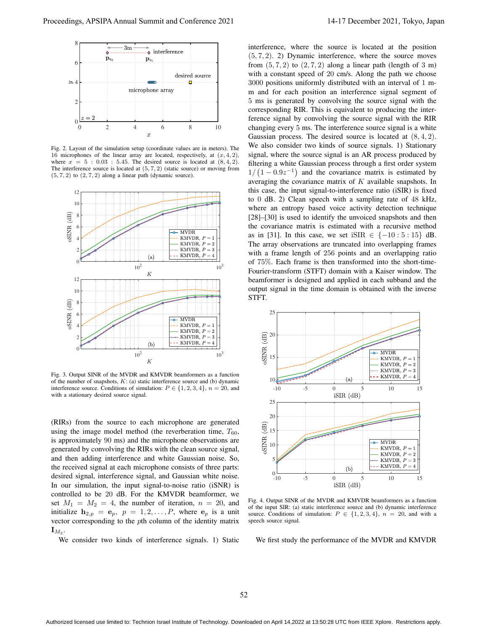

Fig. 2. Layout of the simulation setup (coordinate values are in meters). The 16 microphones of the linear array are located, respectively, at  $(x, 4, 2)$ , where  $x = 5 : 0.03 : 5.45$ . The desired source is located at  $(8, 4, 2)$ . The interference source is located at (5*,* 7*,* 2) (static source) or moving from (5*,* 7*,* 2) to (2*,* 7*,* 2) along a linear path (dynamic source).



Fig. 3. Output SINR of the MVDR and KMVDR beamformers as a function of the number of snapshots, *K*: (a) static interference source and (b) dynamic interference source. Conditions of simulation:  $P \in \{1, 2, 3, 4\}$ ,  $n = 20$ , and with a stationary desired source signal.

(RIRs) from the source to each microphone are generated using the image model method (the reverberation time,  $T_{60}$ , is approximately 90 ms) and the microphone observations are generated by convolving the RIRs with the clean source signal, and then adding interference and white Gaussian noise. So, the received signal at each microphone consists of three parts: desired signal, interference signal, and Gaussian white noise. In our simulation, the input signal-to-noise ratio (iSNR) is controlled to be 20 dB. For the KMVDR beamformer, we set  $M_1 = M_2 = 4$ , the number of iteration,  $n = 20$ , and initialize  $h_{2,p} = e_p$ ,  $p = 1, 2, \ldots, P$ , where  $e_p$  is a unit vector corresponding to the *p*th column of the identity matrix  $\mathbf{I}_{M_2}.$ 

We consider two kinds of interference signals. 1) Static

interference, where the source is located at the position (5*,* 7*,* 2). 2) Dynamic interference, where the source moves from  $(5, 7, 2)$  to  $(2, 7, 2)$  along a linear path (length of 3 m) with a constant speed of 20 cm/s. Along the path we choose 3000 positions uniformly distributed with an interval of 1 mm and for each position an interference signal segment of 5 ms is generated by convolving the source signal with the corresponding RIR. This is equivalent to producing the interference signal by convolving the source signal with the RIR changing every 5 ms. The interference source signal is a white Gaussian process. The desired source is located at (8*,* 4*,* 2). We also consider two kinds of source signals. 1) Stationary signal, where the source signal is an AR process produced by filtering a white Gaussian process through a first order system  $1/(1-0.9z^{-1})$  and the covariance matrix is estimated by averaging the covariance matrix of *K* available snapshots. In this case, the input signal-to-interference ratio (iSIR) is fixed to 0 dB. 2) Clean speech with a sampling rate of 48 kHz, where an entropy based voice activity detection technique [28]–[30] is used to identify the unvoiced snapshots and then the covariance matrix is estimated with a recursive method as in [31]. In this case, we set iSIR *∈ {−*10 : 5 : 15*}* dB. The array observations are truncated into overlapping frames with a frame length of 256 points and an overlapping ratio of 75%. Each frame is then transformed into the short-time-Fourier-transform (STFT) domain with a Kaiser window. The beamformer is designed and applied in each subband and the output signal in the time domain is obtained with the inverse STFT.



Fig. 4. Output SINR of the MVDR and KMVDR beamformers as a function of the input SIR: (a) static interference source and (b) dynamic interference source. Conditions of simulation:  $P \in \{1, 2, 3, 4\}$ ,  $n = 20$ , and with a speech source signal.

We first study the performance of the MVDR and KMVDR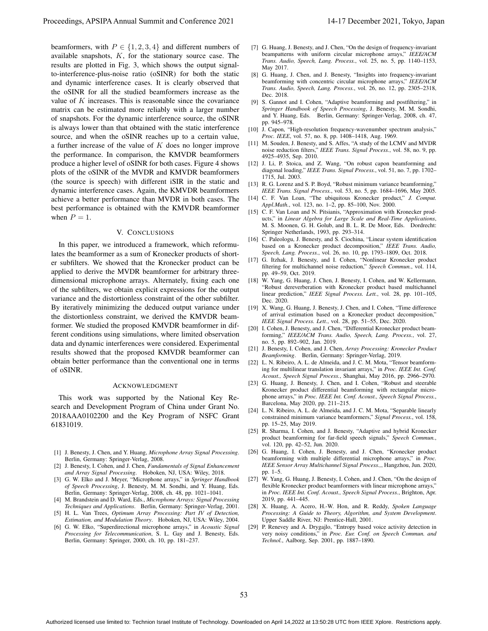beamformers, with  $P \in \{1, 2, 3, 4\}$  and different numbers of available snapshots, *K*, for the stationary source case. The results are plotted in Fig. 3, which shows the output signalto-interference-plus-noise ratio (oSINR) for both the static and dynamic interference cases. It is clearly observed that the oSINR for all the studied beamformers increase as the value of *K* increases. This is reasonable since the covariance matrix can be estimated more reliably with a larger number of snapshots. For the dynamic interference source, the oSINR is always lower than that obtained with the static interference source, and when the oSINR reaches up to a certain value, a further increase of the value of *K* does no longer improve the performance. In comparison, the KMVDR beamformers produce a higher level of oSINR for both cases. Figure 4 shows plots of the oSINR of the MVDR and KMVDR beamformers (the source is speech) with different iSIR in the static and dynamic interference cases. Again, the KMVDR beamformers achieve a better performance than MVDR in both cases. The best performance is obtained with the KMVDR beamformer when  $P = 1$ .

# V. CONCLUSIONS

In this paper, we introduced a framework, which reformulates the beamformer as a sum of Kronecker products of shorter subfilters. We showed that the Kronecker product can be applied to derive the MVDR beamformer for arbitrary threedimensional microphone arrays. Alternately, fixing each one of the subfilters, we obtain explicit expressions for the output variance and the distortionless constraint of the other subfilter. By iteratively minimizing the deduced output variance under the distortionless constraint, we derived the KMVDR beamformer. We studied the proposed KMVDR beamformer in different conditions using simulations, where limited observation data and dynamic interferences were considered. Experimental results showed that the proposed KMVDR beamformer can obtain better performance than the conventional one in terms of oSINR.

## ACKNOWLEDGMENT

This work was supported by the National Key Research and Development Program of China under Grant No. 2018AAA0102200 and the Key Program of NSFC Grant 61831019.

- [1] J. Benesty, J. Chen, and Y. Huang, *Microphone Array Signal Processing*. Berlin, Germany: Springer-Verlag, 2008.
- [2] J. Benesty, I. Cohen, and J. Chen, *Fundamentals of Signal Enhancement and Array Signal Processing*. Hoboken, NJ, USA: Wiley, 2018.
- [3] G. W. Elko and J. Meyer, "Microphone arrays," in *Springer Handbook of Speech Processing*, J. Benesty, M. M. Sondhi, and Y. Huang, Eds. Berlin, Germany: Springer-Verlag, 2008, ch. 48, pp. 1021–1041.
- [4] M. Brandstein and D. Ward, Eds., *Microphone Arrays: Signal Processing Techniques and Applications*. Berlin, Germany: Springer-Verlag, 2001.
- [5] H. L. Van Trees, *Optimum Array Processing: Part IV of Detection, Estimation, and Modulation Theory*. Hoboken, NJ, USA: Wiley, 2004.
- [6] G. W. Elko, "Superdirectional microphone arrays," in *Acoustic Signal Processing for Telecommunication*, S. L. Gay and J. Benesty, Eds. Berlin, Germany: Springer, 2000, ch. 10, pp. 181–237.
- [7] G. Huang, J. Benesty, and J. Chen, "On the design of frequency-invariant beampatterns with uniform circular microphone arrays," *IEEE/ACM Trans. Audio, Speech, Lang. Process.*, vol. 25, no. 5, pp. 1140–1153, May 2017.
- [8] G. Huang, J. Chen, and J. Benesty, "Insights into frequency-invariant beamforming with concentric circular microphone arrays," *IEEE/ACM Trans. Audio, Speech, Lang. Process.*, vol. 26, no. 12, pp. 2305–2318, Dec. 2018.
- [9] S. Gannot and I. Cohen, "Adaptive beamforming and postfiltering," in *Springer Handbook of Speech Processing*, J. Benesty, M. M. Sondhi, and Y. Huang, Eds. Berlin, Germany: Springer-Verlag, 2008, ch. 47, pp. 945–978.
- [10] J. Capon, "High-resolution frequency-wavenumber spectrum analysis," *Proc. IEEE*, vol. 57, no. 8, pp. 1408–1418, Aug. 1969.
- [11] M. Souden, J. Benesty, and S. Affes, "A study of the LCMV and MVDR noise reduction filters," *IEEE Trans. Signal Process.*, vol. 58, no. 9, pp. 4925–4935, Sep. 2010.
- [12] J. Li, P. Stoica, and Z. Wang, "On robust capon beamforming and diagonal loading," *IEEE Trans. Signal Process.*, vol. 51, no. 7, pp. 1702– 1715, Jul. 2003.
- [13] R. G. Lorenz and S. P. Boyd, "Robust minimum variance beamforming," *IEEE Trans. Signal Process.*, vol. 53, no. 5, pp. 1684–1696, May 2005.
- [14] C. F. Van Loan, "The ubiquitous Kronecker product," *J. Comput. Appl.Math.*, vol. 123, no. 1–2, pp. 85–100, Nov. 2000.
- [15] C. F. Van Loan and N. Pitsianis, "Approximation with Kronecker products," in *Linear Algebra for Large Scale and Real-Time Applications*, M. S. Moonen, G. H. Golub, and B. L. R. De Moor, Eds. Dordrecht: Springer Netherlands, 1993, pp. 293–314.
- [16] C. Paleologu, J. Benesty, and S. Ciochina, "Linear system identification based on a Kronecker product decomposition," *IEEE Trans. Audio, Speech, Lang. Process.*, vol. 26, no. 10, pp. 1793–1809, Oct. 2018.
- [17] G. Itzhak, J. Benesty, and I. Cohen, "Nonlinear Kronecker product filtering for multichannel noise reduction," *Speech Commun.*, vol. 114, pp. 49–59, Oct. 2019.
- [18] W. Yang, G. Huang, J. Chen, J. Benesty, I. Cohen, and W. Kellermann, "Robust dereverberation with Kronecker product based multichannel linear prediction," *IEEE Signal Process. Lett.*, vol. 28, pp. 101–105, Dec. 2020.
- [19] X. Wang, G. Huang, J. Benesty, J. Chen, and I. Cohen, "Time difference of arrival estimation based on a Kronecker product decomposition," *IEEE Signal Process. Lett.*, vol. 28, pp. 51–55, Dec. 2020.
- [20] I. Cohen, J. Benesty, and J. Chen, "Differential Kronecker product beamforming," *IEEE/ACM Trans. Audio, Speech, Lang. Process.*, vol. 27, no. 5, pp. 892–902, Jan. 2019.
- [21] J. Benesty, I. Cohen, and J. Chen, *Array Processing: Kronecker Product Beamforming*. Berlin, Germany: Springer-Verlag, 2019.
- [22] L. N. Ribeiro, A. L. de Almeida, and J. C. M. Mota, "Tensor beamforming for multilinear translation invariant arrays," in *Proc. IEEE Int. Conf. Acoust., Speech Signal Process.*, Shanghai, May 2016, pp. 2966–2970.
- [23] G. Huang, J. Benesty, J. Chen, and I. Cohen, "Robust and steerable Kronecker product differential beamforming with rectangular microphone arrays," in *Proc. IEEE Int. Conf. Acoust., Speech Signal Process.*, Barcelona, May 2020, pp. 211–215.
- [24] L. N. Ribeiro, A. L. de Almeida, and J. C. M. Mota, "Separable linearly constrained minimum variance beamformers," *Signal Process.*, vol. 158, pp. 15–25, May 2019.
- [25] R. Sharma, I. Cohen, and J. Benesty, "Adaptive and hybrid Kronecker product beamforming for far-field speech signals," *Speech Commun.*, vol. 120, pp. 42–52, Jun. 2020.
- [26] G. Huang, I. Cohen, J. Benesty, and J. Chen, "Kronecker product beamforming with multiple differential microphone arrays," in *Proc. IEEE Sensor Array Multichannel Signal Process.,*, Hangzhou, Jun. 2020, pp. 1–5.
- [27] W. Yang, G. Huang, J. Benesty, I. Cohen, and J. Chen, "On the design of flexible Kronecker product beamformers with linear microphone arrays,' in *Proc. IEEE Int. Conf. Acoust., Speech Signal Process.*, Brighton, Apr. 2019, pp. 441–445.
- [28] X. Huang, A. Acero, H.-W. Hon, and R. Reddy, *Spoken Language Processing: A Guide to Theory, Algorithm, and System Development*. Upper Saddle River, NJ: Prentice-Hall, 2001.
- [29] P. Renevey and A. Drygajlo, "Entropy based voice activity detection in very noisy conditions," in *Proc. Eur. Conf. on Speech Commun. and Technol.*, Aalborg, Sep. 2001, pp. 1887–1890.